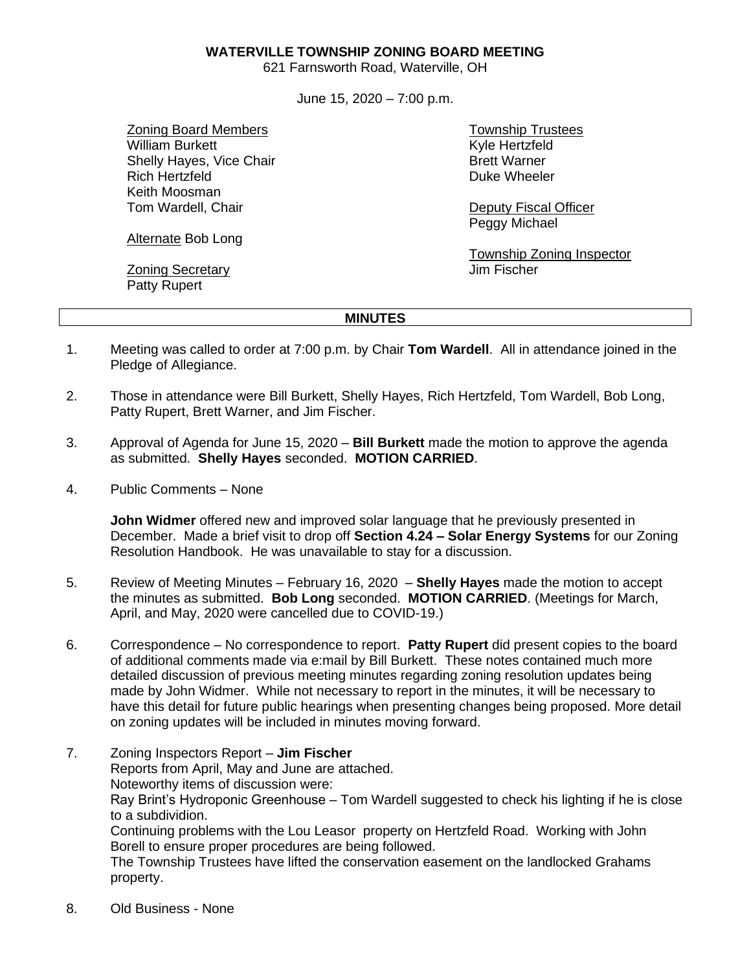### **WATERVILLE TOWNSHIP ZONING BOARD MEETING**

621 Farnsworth Road, Waterville, OH

June 15, 2020 – 7:00 p.m.

Zoning Board Members William Burkett Shelly Hayes, Vice Chair Rich Hertzfeld Keith Moosman Tom Wardell, Chair

Alternate Bob Long

Zoning Secretary Patty Rupert

Township Trustees Kyle Hertzfeld Brett Warner Duke Wheeler

Deputy Fiscal Officer Peggy Michael

Township Zoning Inspector Jim Fischer

#### **MINUTES**

- 1. Meeting was called to order at 7:00 p.m. by Chair **Tom Wardell**. All in attendance joined in the Pledge of Allegiance.
- 2. Those in attendance were Bill Burkett, Shelly Hayes, Rich Hertzfeld, Tom Wardell, Bob Long, Patty Rupert, Brett Warner, and Jim Fischer.
- 3. Approval of Agenda for June 15, 2020 **Bill Burkett** made the motion to approve the agenda as submitted. **Shelly Hayes** seconded. **MOTION CARRIED**.
- 4. Public Comments None

**John Widmer** offered new and improved solar language that he previously presented in December. Made a brief visit to drop off **Section 4.24 – Solar Energy Systems** for our Zoning Resolution Handbook. He was unavailable to stay for a discussion.

- 5. Review of Meeting Minutes February 16, 2020 **Shelly Hayes** made the motion to accept the minutes as submitted. **Bob Long** seconded. **MOTION CARRIED**. (Meetings for March, April, and May, 2020 were cancelled due to COVID-19.)
- 6. Correspondence No correspondence to report. **Patty Rupert** did present copies to the board of additional comments made via e:mail by Bill Burkett. These notes contained much more detailed discussion of previous meeting minutes regarding zoning resolution updates being made by John Widmer. While not necessary to report in the minutes, it will be necessary to have this detail for future public hearings when presenting changes being proposed. More detail on zoning updates will be included in minutes moving forward.
- 7. Zoning Inspectors Report **Jim Fischer** Reports from April, May and June are attached. Noteworthy items of discussion were: Ray Brint's Hydroponic Greenhouse – Tom Wardell suggested to check his lighting if he is close to a subdividion. Continuing problems with the Lou Leasor property on Hertzfeld Road. Working with John Borell to ensure proper procedures are being followed. The Township Trustees have lifted the conservation easement on the landlocked Grahams property.
- 8. Old Business None